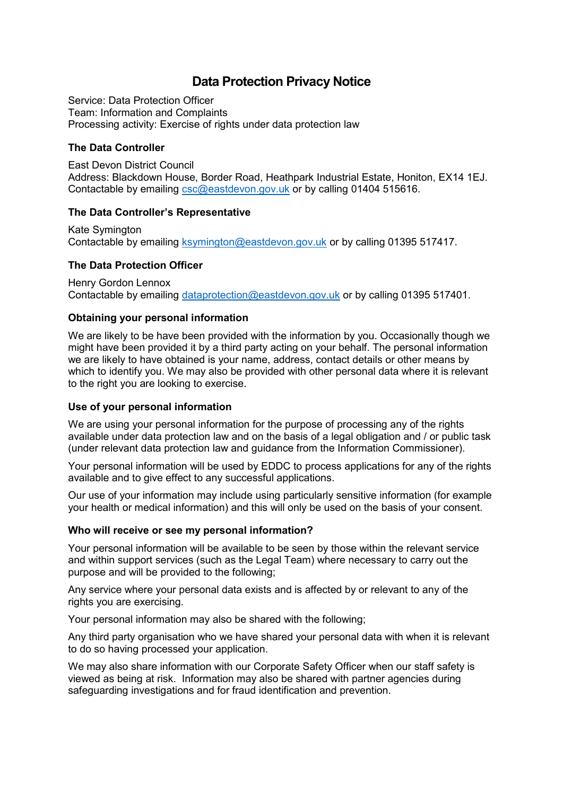# **Data Protection Privacy Notice**

Service: Data Protection Officer Team: Information and Complaints Processing activity: Exercise of rights under data protection law

## **The Data Controller**

East Devon District Council Address: Blackdown House, Border Road, Heathpark Industrial Estate, Honiton, EX14 1EJ. Contactable by emailing [csc@eastdevon.gov.uk](mailto:csc@eastdevon.gov.uk) or by calling 01404 515616.

## **The Data Controller's Representative**

Kate Symington Contactable by emailing [ksymington@eastdevon.gov.uk](mailto:ksymington@eastdevon.gov.uk) or by calling 01395 517417.

## **The Data Protection Officer**

Henry Gordon Lennox Contactable by emailing [dataprotection@eastdevon.gov.uk](mailto:dataprotection@eastdevon.gov.uk) or by calling 01395 517401.

## **Obtaining your personal information**

We are likely to be have been provided with the information by you. Occasionally though we might have been provided it by a third party acting on your behalf. The personal information we are likely to have obtained is your name, address, contact details or other means by which to identify you. We may also be provided with other personal data where it is relevant to the right you are looking to exercise.

#### **Use of your personal information**

We are using your personal information for the purpose of processing any of the rights available under data protection law and on the basis of a legal obligation and / or public task (under relevant data protection law and guidance from the Information Commissioner).

Your personal information will be used by EDDC to process applications for any of the rights available and to give effect to any successful applications.

Our use of your information may include using particularly sensitive information (for example your health or medical information) and this will only be used on the basis of your consent.

#### **Who will receive or see my personal information?**

Your personal information will be available to be seen by those within the relevant service and within support services (such as the Legal Team) where necessary to carry out the purpose and will be provided to the following;

Any service where your personal data exists and is affected by or relevant to any of the rights you are exercising.

Your personal information may also be shared with the following;

Any third party organisation who we have shared your personal data with when it is relevant to do so having processed your application.

We may also share information with our Corporate Safety Officer when our staff safety is viewed as being at risk. Information may also be shared with partner agencies during safeguarding investigations and for fraud identification and prevention.